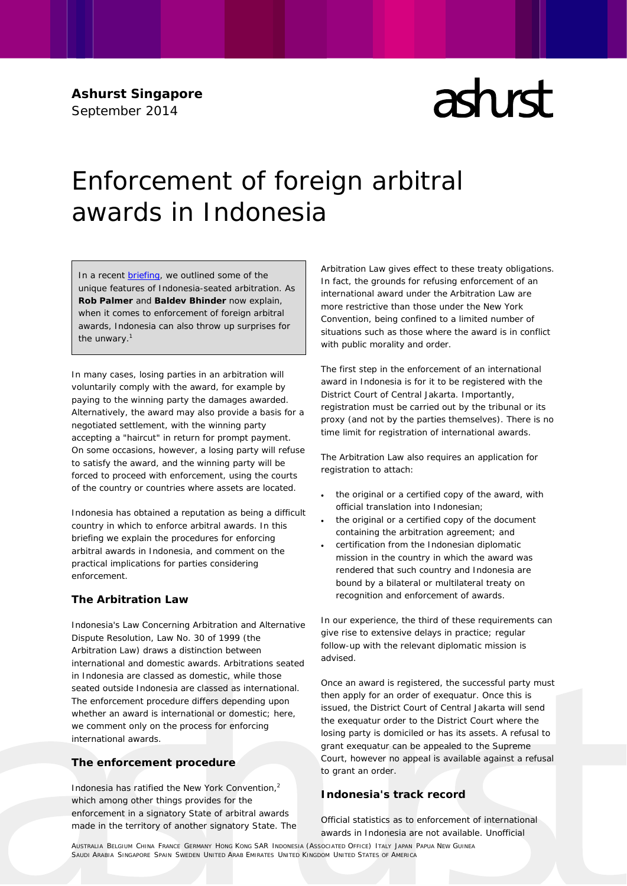**Ashurst Singapore** September 2014

# $\mathop{\mathrm{ad}}\nolimits$ rd

# Enforcement of foreign arbitral awards in Indonesia

In a recent [briefing,](http://www.ashurst.com/page.aspx?id_Content=10764) we outlined some of the unique features of Indonesia-seated arbitration. As **Rob Palmer** and **Baldev Bhinder** now explain, when it comes to enforcement of foreign arbitral awards, Indonesia can also throw up surprises for the unwary.<sup>1</sup>

In many cases, losing parties in an arbitration will voluntarily comply with the award, for example by paying to the winning party the damages awarded. Alternatively, the award may also provide a basis for a negotiated settlement, with the winning party accepting a "haircut" in return for prompt payment. On some occasions, however, a losing party will refuse to satisfy the award, and the winning party will be forced to proceed with enforcement, using the courts of the country or countries where assets are located.

Indonesia has obtained a reputation as being a difficult country in which to enforce arbitral awards. In this briefing we explain the procedures for enforcing arbitral awards in Indonesia, and comment on the practical implications for parties considering enforcement.

# **The Arbitration Law**

Indonesia's Law Concerning Arbitration and Alternative Dispute Resolution, Law No. 30 of 1999 (the Arbitration Law) draws a distinction between international and domestic awards. Arbitrations seated in Indonesia are classed as domestic, while those seated outside Indonesia are classed as international. The enforcement procedure differs depending upon whether an award is international or domestic; here, we comment only on the process for enforcing international awards.

# **The enforcement procedure**

Indonesia has ratified the New York Convention,<sup>2</sup> which among other things provides for the enforcement in a signatory State of arbitral awards made in the territory of another signatory State. The Arbitration Law gives effect to these treaty obligations. In fact, the grounds for refusing enforcement of an international award under the Arbitration Law are more restrictive than those under the New York Convention, being confined to a limited number of situations such as those where the award is in conflict with public morality and order.

The first step in the enforcement of an international award in Indonesia is for it to be registered with the District Court of Central Jakarta. Importantly, registration must be carried out by the tribunal or its proxy (and not by the parties themselves). There is no time limit for registration of international awards.

The Arbitration Law also requires an application for registration to attach:

- the original or a certified copy of the award, with official translation into Indonesian;
- the original or a certified copy of the document containing the arbitration agreement; and
- certification from the Indonesian diplomatic mission in the country in which the award was rendered that such country and Indonesia are bound by a bilateral or multilateral treaty on recognition and enforcement of awards.

In our experience, the third of these requirements can give rise to extensive delays in practice; regular follow-up with the relevant diplomatic mission is advised.

Once an award is registered, the successful party must then apply for an order of *exequatur.* Once this is issued, the District Court of Central Jakarta will send the *exequatur* order to the District Court where the losing party is domiciled or has its assets. A refusal to grant *exequatur* can be appealed to the Supreme Court, however no appeal is available against a refusal to grant an order.

# **Indonesia's track record**

Official statistics as to enforcement of international awards in Indonesia are not available. Unofficial

AUSTRALIA BELGIUM CHINA FRANCE GERMANY HONG KONG SAR INDONESIA (ASSOCIATED OFFICE) ITALY JAPAN PAPUA NEW GUINEA SAUDI ARABIA SINGAPORE SPAIN SWEDEN UNITED ARAB EMIRATES UNITED KINGDOM UNITED STATES OF AMERICA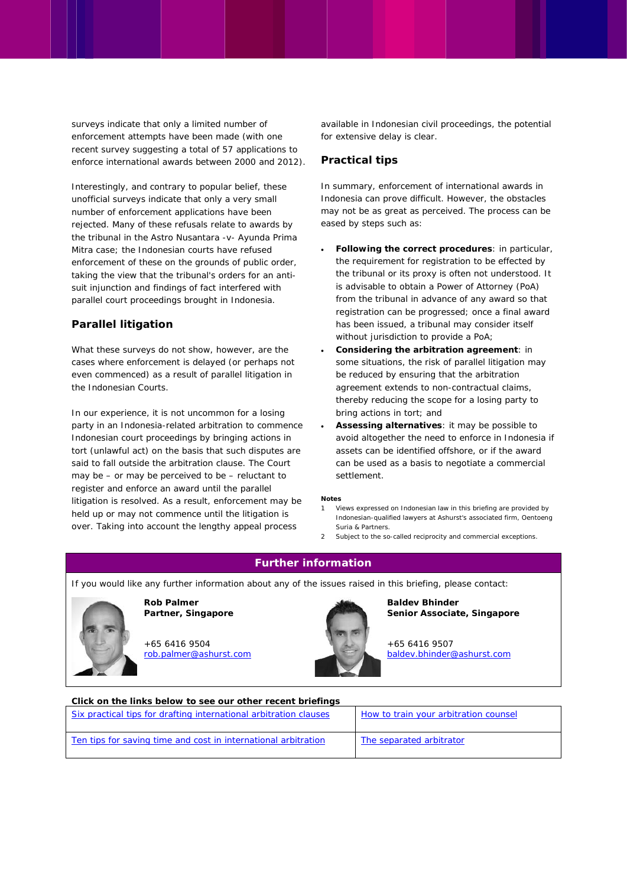surveys indicate that only a limited number of enforcement attempts have been made (with one recent survey suggesting a total of 57 applications to enforce international awards between 2000 and 2012).

Interestingly, and contrary to popular belief, these unofficial surveys indicate that only a very small number of enforcement applications have been rejected. Many of these refusals relate to awards by the tribunal in the *Astro Nusantara -v- Ayunda Prima Mitra* case; the Indonesian courts have refused enforcement of these on the grounds of public order, taking the view that the tribunal's orders for an antisuit injunction and findings of fact interfered with parallel court proceedings brought in Indonesia.

# **Parallel litigation**

What these surveys do not show, however, are the cases where enforcement is delayed (or perhaps not even commenced) as a result of parallel litigation in the Indonesian Courts.

In our experience, it is not uncommon for a losing party in an Indonesia-related arbitration to commence Indonesian court proceedings by bringing actions in tort (unlawful act) on the basis that such disputes are said to fall outside the arbitration clause. The Court may be – or may be perceived to be – reluctant to register and enforce an award until the parallel litigation is resolved. As a result, enforcement may be held up or may not commence until the litigation is over. Taking into account the lengthy appeal process

available in Indonesian civil proceedings, the potential for extensive delay is clear.

## **Practical tips**

In summary, enforcement of international awards in Indonesia can prove difficult. However, the obstacles may not be as great as perceived. The process can be eased by steps such as:

- **Following the correct procedures**: in particular, the requirement for registration to be effected by the tribunal or its proxy is often not understood. It is advisable to obtain a Power of Attorney (PoA) from the tribunal in advance of any award so that registration can be progressed; once a final award has been issued, a tribunal may consider itself without jurisdiction to provide a PoA;
- **Considering the arbitration agreement**: in some situations, the risk of parallel litigation may be reduced by ensuring that the arbitration agreement extends to non-contractual claims, thereby reducing the scope for a losing party to bring actions in tort; and
- **Assessing alternatives**: it may be possible to avoid altogether the need to enforce in Indonesia if assets can be identified offshore, or if the award can be used as a basis to negotiate a commercial settlement.

#### **Notes**

- 1 Views expressed on Indonesian law in this briefing are provided by Indonesian-qualified lawyers at Ashurst's associated firm, Oentoeng Suria & Partners.
- 2 Subject to the so-called reciprocity and commercial exceptions.

# **Further information**

If you would like any further information about any of the issues raised in this briefing, please contact:



**Partner, Singapore** +65 6416 9504

[rob.palmer@ashurst.com](mailto:rob.palmer@ashurst.com)

**Rob Palmer**



**Baldev Bhinder Senior Associate, Singapore** 

+65 6416 9507 [baldev.bhinder@ashurst.com](mailto:baldev.bhinder@ashurst.com)

| Click on the links below to see our other recent briefings        |                                       |
|-------------------------------------------------------------------|---------------------------------------|
| Six practical tips for drafting international arbitration clauses | How to train your arbitration counsel |
| Ten tips for saving time and cost in international arbitration    | The separated arbitrator              |